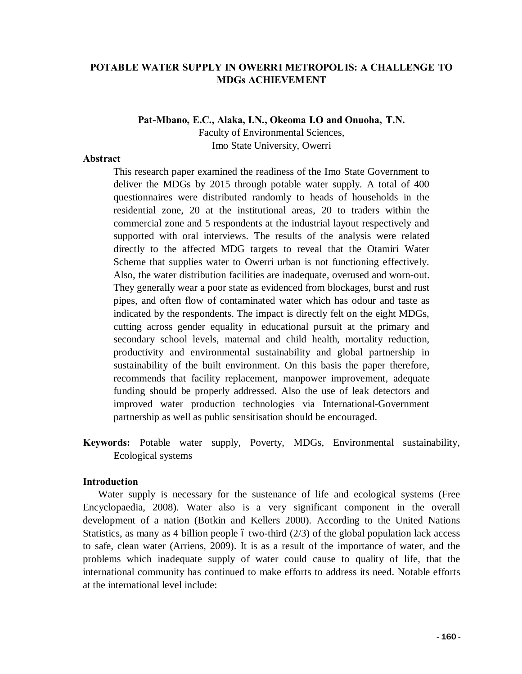## **POTABLE WATER SUPPLY IN OWERRI METROPOLIS: A CHALLENGE TO MDGs ACHIEVEMENT**

**Pat-Mbano, E.C., Alaka, I.N., Okeoma I.O and Onuoha, T.N.**

Faculty of Environmental Sciences, Imo State University, Owerri

### **Abstract**

This research paper examined the readiness of the Imo State Government to deliver the MDGs by 2015 through potable water supply. A total of 400 questionnaires were distributed randomly to heads of households in the residential zone, 20 at the institutional areas, 20 to traders within the commercial zone and 5 respondents at the industrial layout respectively and supported with oral interviews. The results of the analysis were related directly to the affected MDG targets to reveal that the Otamiri Water Scheme that supplies water to Owerri urban is not functioning effectively. Also, the water distribution facilities are inadequate, overused and worn-out. They generally wear a poor state as evidenced from blockages, burst and rust pipes, and often flow of contaminated water which has odour and taste as indicated by the respondents. The impact is directly felt on the eight MDGs, cutting across gender equality in educational pursuit at the primary and secondary school levels, maternal and child health, mortality reduction, productivity and environmental sustainability and global partnership in sustainability of the built environment. On this basis the paper therefore, recommends that facility replacement, manpower improvement, adequate funding should be properly addressed. Also the use of leak detectors and improved water production technologies via International-Government partnership as well as public sensitisation should be encouraged.

**Keywords:** Potable water supply, Poverty, MDGs, Environmental sustainability, Ecological systems

### **Introduction**

Water supply is necessary for the sustenance of life and ecological systems (Free Encyclopaedia, 2008). Water also is a very significant component in the overall development of a nation (Botkin and Kellers 2000). According to the United Nations Statistics, as many as 4 billion people 6 two-third  $(2/3)$  of the global population lack access to safe, clean water (Arriens, 2009). It is as a result of the importance of water, and the problems which inadequate supply of water could cause to quality of life, that the international community has continued to make efforts to address its need. Notable efforts at the international level include: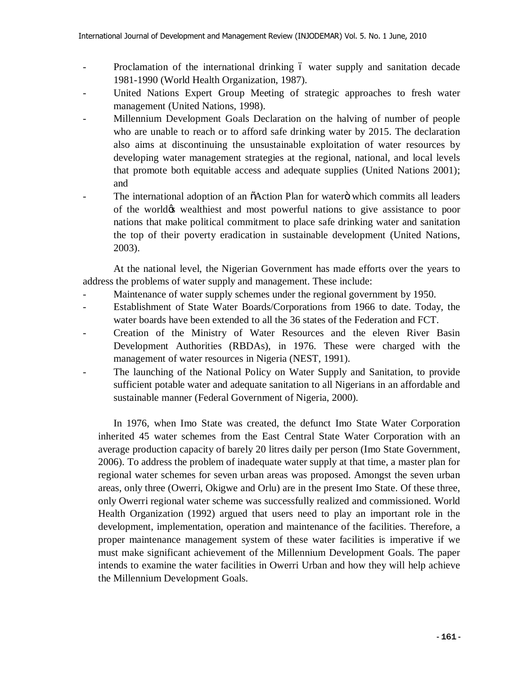- Proclamation of the international drinking 6 water supply and sanitation decade 1981-1990 (World Health Organization, 1987).
- United Nations Expert Group Meeting of strategic approaches to fresh water management (United Nations, 1998).
- Millennium Development Goals Declaration on the halving of number of people who are unable to reach or to afford safe drinking water by 2015. The declaration also aims at discontinuing the unsustainable exploitation of water resources by developing water management strategies at the regional, national, and local levels that promote both equitable access and adequate supplies (United Nations 2001); and
- The international adoption of an  $\tilde{o}$ Action Plan for water $\ddot{o}$  which commits all leaders of the world $\phi$ s wealthiest and most powerful nations to give assistance to poor nations that make political commitment to place safe drinking water and sanitation the top of their poverty eradication in sustainable development (United Nations, 2003).

At the national level, the Nigerian Government has made efforts over the years to address the problems of water supply and management. These include:

- Maintenance of water supply schemes under the regional government by 1950.
- Establishment of State Water Boards/Corporations from 1966 to date. Today, the water boards have been extended to all the 36 states of the Federation and FCT.
- Creation of the Ministry of Water Resources and the eleven River Basin Development Authorities (RBDAs), in 1976. These were charged with the management of water resources in Nigeria (NEST, 1991).
- The launching of the National Policy on Water Supply and Sanitation, to provide sufficient potable water and adequate sanitation to all Nigerians in an affordable and sustainable manner (Federal Government of Nigeria, 2000).

In 1976, when Imo State was created, the defunct Imo State Water Corporation inherited 45 water schemes from the East Central State Water Corporation with an average production capacity of barely 20 litres daily per person (Imo State Government, 2006). To address the problem of inadequate water supply at that time, a master plan for regional water schemes for seven urban areas was proposed. Amongst the seven urban areas, only three (Owerri, Okigwe and Orlu) are in the present Imo State. Of these three, only Owerri regional water scheme was successfully realized and commissioned. World Health Organization (1992) argued that users need to play an important role in the development, implementation, operation and maintenance of the facilities. Therefore, a proper maintenance management system of these water facilities is imperative if we must make significant achievement of the Millennium Development Goals. The paper intends to examine the water facilities in Owerri Urban and how they will help achieve the Millennium Development Goals.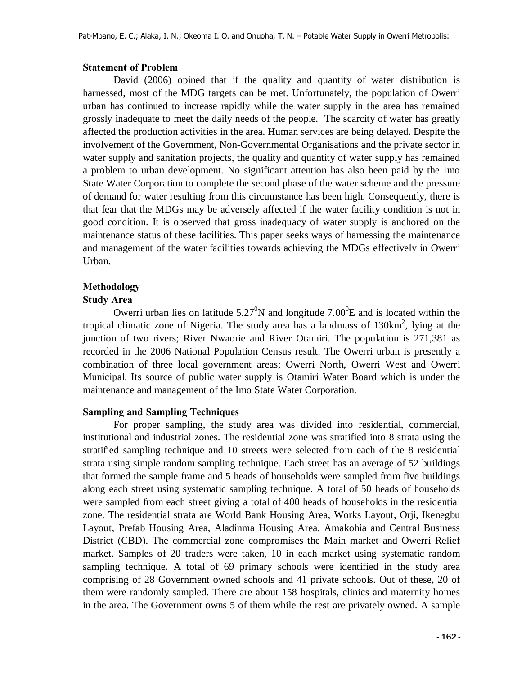### **Statement of Problem**

David (2006) opined that if the quality and quantity of water distribution is harnessed, most of the MDG targets can be met. Unfortunately, the population of Owerri urban has continued to increase rapidly while the water supply in the area has remained grossly inadequate to meet the daily needs of the people. The scarcity of water has greatly affected the production activities in the area. Human services are being delayed. Despite the involvement of the Government, Non-Governmental Organisations and the private sector in water supply and sanitation projects, the quality and quantity of water supply has remained a problem to urban development. No significant attention has also been paid by the Imo State Water Corporation to complete the second phase of the water scheme and the pressure of demand for water resulting from this circumstance has been high. Consequently, there is that fear that the MDGs may be adversely affected if the water facility condition is not in good condition. It is observed that gross inadequacy of water supply is anchored on the maintenance status of these facilities. This paper seeks ways of harnessing the maintenance and management of the water facilities towards achieving the MDGs effectively in Owerri Urban.

## **Methodology**

### **Study Area**

Owerri urban lies on latitude  $5.27^0$ N and longitude  $7.00^0$ E and is located within the tropical climatic zone of Nigeria. The study area has a landmass of  $130 \text{km}^2$ , lying at the junction of two rivers; River Nwaorie and River Otamiri. The population is 271,381 as recorded in the 2006 National Population Census result. The Owerri urban is presently a combination of three local government areas; Owerri North, Owerri West and Owerri Municipal. Its source of public water supply is Otamiri Water Board which is under the maintenance and management of the Imo State Water Corporation.

### **Sampling and Sampling Techniques**

For proper sampling, the study area was divided into residential, commercial, institutional and industrial zones. The residential zone was stratified into 8 strata using the stratified sampling technique and 10 streets were selected from each of the 8 residential strata using simple random sampling technique. Each street has an average of 52 buildings that formed the sample frame and 5 heads of households were sampled from five buildings along each street using systematic sampling technique. A total of 50 heads of households were sampled from each street giving a total of 400 heads of households in the residential zone. The residential strata are World Bank Housing Area, Works Layout, Orji, Ikenegbu Layout, Prefab Housing Area, Aladinma Housing Area, Amakohia and Central Business District (CBD). The commercial zone compromises the Main market and Owerri Relief market. Samples of 20 traders were taken, 10 in each market using systematic random sampling technique. A total of 69 primary schools were identified in the study area comprising of 28 Government owned schools and 41 private schools. Out of these, 20 of them were randomly sampled. There are about 158 hospitals, clinics and maternity homes in the area. The Government owns 5 of them while the rest are privately owned. A sample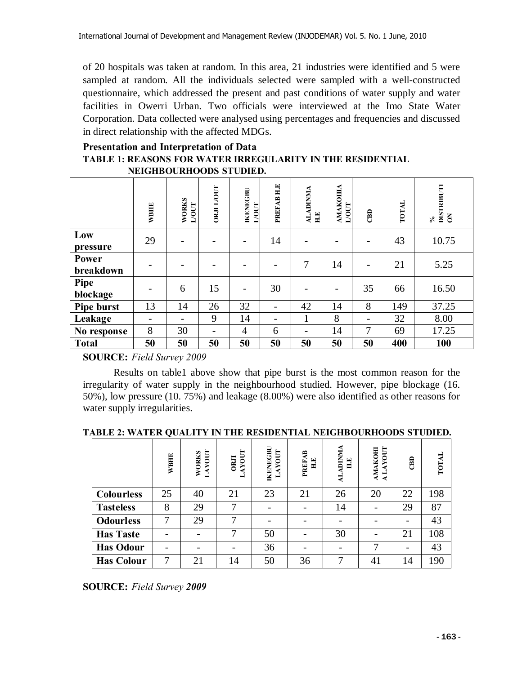of 20 hospitals was taken at random. In this area, 21 industries were identified and 5 were sampled at random. All the individuals selected were sampled with a well-constructed questionnaire, which addressed the present and past conditions of water supply and water facilities in Owerri Urban. Two officials were interviewed at the Imo State Water Corporation. Data collected were analysed using percentages and frequencies and discussed in direct relationship with the affected MDGs.

### **Presentation and Interpretation of Data TABLE 1: REASONS FOR WATER IRREGULARITY IN THE RESIDENTIAL NEIGHBOURHOODS STUDIED.**

|                           | <b>WBHE</b> | <b>WORKS</b><br>$\bf L/OUT$ | <b>ORJI L/OUT</b>        | <b>IKENEGBU</b><br>$LOUT$ | PREFAB H.E | <b>ALADINMA</b><br>H.E | <b>AMAKOHIA</b><br>L/OUT | $\overline{a}$ | <b>TOTAL</b> | DISTRIBUTI<br>ON<br>$\mathcal{S}_{\bullet}$ |
|---------------------------|-------------|-----------------------------|--------------------------|---------------------------|------------|------------------------|--------------------------|----------------|--------------|---------------------------------------------|
| Low<br>pressure           | 29          |                             | $\overline{\phantom{0}}$ |                           | 14         |                        |                          |                | 43           | 10.75                                       |
| <b>Power</b><br>breakdown |             |                             |                          |                           |            | 7                      | 14                       |                | 21           | 5.25                                        |
| Pipe<br>blockage          |             | 6                           | 15                       | $\overline{\phantom{a}}$  | 30         |                        | -                        | 35             | 66           | 16.50                                       |
| Pipe burst                | 13          | 14                          | 26                       | 32                        |            | 42                     | 14                       | 8              | 149          | 37.25                                       |
| Leakage                   |             |                             | 9                        | 14                        |            | $\mathbf{1}$           | 8                        | -              | 32           | 8.00                                        |
| No response               | 8           | 30                          | $\overline{\phantom{a}}$ | $\overline{4}$            | 6          |                        | 14                       | 7              | 69           | 17.25                                       |
| <b>Total</b>              | 50          | 50                          | 50                       | 50                        | 50         | 50                     | 50                       | 50             | 400          | 100                                         |

**SOURCE:** *Field Survey 2009*

Results on table1 above show that pipe burst is the most common reason for the irregularity of water supply in the neighbourhood studied. However, pipe blockage (16. 50%), low pressure (10. 75%) and leakage (8.00%) were also identified as other reasons for water supply irregularities.

#### **TABLE 2: WATER QUALITY IN THE RESIDENTIAL NEIGHBOURHOODS STUDIED.**

|                   | <b>WBHE</b> | LAYOUT<br><b>WORKS</b> | <b>AYOUT</b><br><b>ORJI</b><br>┙ | <b>IKENEGBU</b><br>LAYOUT | <b>PREFAB</b><br>$\mathbf{H}$ . E | <b>ALADINMA</b><br>$\mathbf{H}$ | LAYOUT<br>AMAKOHI<br>$\triangleleft$ | $\overline{a}$ | <b>TOTAL</b> |
|-------------------|-------------|------------------------|----------------------------------|---------------------------|-----------------------------------|---------------------------------|--------------------------------------|----------------|--------------|
| <b>Colourless</b> | 25          | 40                     | 21                               | 23                        | 21                                | 26                              | 20                                   | 22             | 198          |
| <b>Tasteless</b>  | 8           | 29                     | ⇁                                |                           | $\overline{\phantom{0}}$          | 14                              |                                      | 29             | 87           |
| <b>Odourless</b>  | 7           | 29                     | ⇁                                |                           |                                   |                                 |                                      |                | 43           |
| <b>Has Taste</b>  |             |                        | ⇁                                | 50                        |                                   | 30                              |                                      | 21             | 108          |
| <b>Has Odour</b>  |             |                        |                                  | 36                        |                                   |                                 | ⇁                                    |                | 43           |
| <b>Has Colour</b> | ⇁           | 21                     | 14                               | 50                        | 36                                | ⇁                               | 41                                   | 14             | 190          |

**SOURCE:** *Field Survey 2009*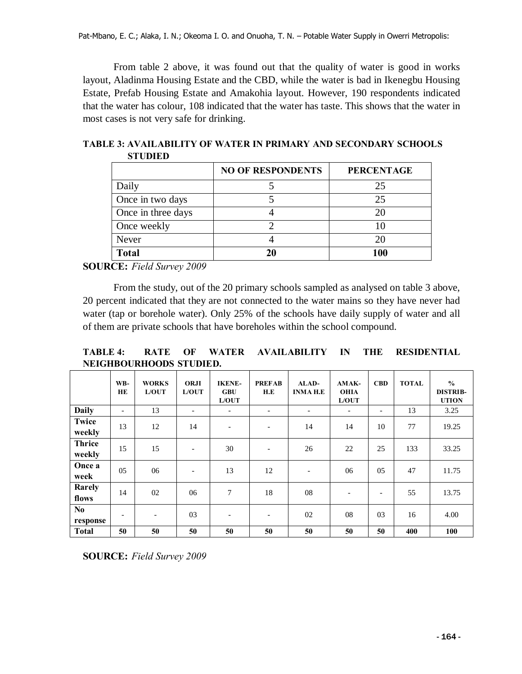From table 2 above, it was found out that the quality of water is good in works layout, Aladinma Housing Estate and the CBD, while the water is bad in Ikenegbu Housing Estate, Prefab Housing Estate and Amakohia layout. However, 190 respondents indicated that the water has colour, 108 indicated that the water has taste. This shows that the water in most cases is not very safe for drinking.

|                    | <b>NO OF RESPONDENTS</b> | <b>PERCENTAGE</b> |
|--------------------|--------------------------|-------------------|
| Daily              |                          | 25                |
| Once in two days   |                          | 25                |
| Once in three days |                          | 20                |
| Once weekly        |                          | 10                |
| Never              |                          | 20                |
| <b>Total</b>       | 20                       | 100               |

**TABLE 3: AVAILABILITY OF WATER IN PRIMARY AND SECONDARY SCHOOLS STUDIED**

**SOURCE:** *Field Survey 2009*

From the study, out of the 20 primary schools sampled as analysed on table 3 above, 20 percent indicated that they are not connected to the water mains so they have never had water (tap or borehole water). Only 25% of the schools have daily supply of water and all of them are private schools that have boreholes within the school compound.

**TABLE 4: RATE OF WATER AVAILABILITY IN THE RESIDENTIAL NEIGHBOURHOODS STUDIED.**

|                            | WB-<br><b>HE</b>         | <b>WORKS</b><br>L/OUT | <b>ORJI</b><br>L/OUT     | <b>IKENE-</b><br><b>GBU</b><br>L/OUT | <b>PREFAB</b><br>H.E     | ALAD-<br><b>INMA H.E</b> | AMAK-<br><b>OHIA</b><br>L/OUT | <b>CBD</b>               | <b>TOTAL</b> | $\frac{0}{0}$<br><b>DISTRIB-</b><br><b>UTION</b> |
|----------------------------|--------------------------|-----------------------|--------------------------|--------------------------------------|--------------------------|--------------------------|-------------------------------|--------------------------|--------------|--------------------------------------------------|
| <b>Daily</b>               | $\overline{\phantom{0}}$ | 13                    |                          | $\overline{a}$                       | $\overline{\phantom{a}}$ | $\overline{\phantom{a}}$ | $\overline{\phantom{a}}$      | $\overline{\phantom{a}}$ | 13           | 3.25                                             |
| <b>Twice</b><br>weekly     | 13                       | 12                    | 14                       | $\overline{a}$                       |                          | 14                       | 14                            | 10                       | 77           | 19.25                                            |
| <b>Thrice</b><br>weekly    | 15                       | 15                    | $\overline{\phantom{0}}$ | 30                                   | $\overline{\phantom{0}}$ | 26                       | 22                            | 25                       | 133          | 33.25                                            |
| Once a<br>week             | 05                       | 06                    |                          | 13                                   | 12                       | $\overline{\phantom{a}}$ | 06                            | 05                       | 47           | 11.75                                            |
| Rarely<br>flows            | 14                       | 02                    | 06                       | $\overline{7}$                       | 18                       | 08                       |                               | $\overline{\phantom{0}}$ | 55           | 13.75                                            |
| N <sub>0</sub><br>response | $\overline{\phantom{0}}$ |                       | 03                       | $\overline{\phantom{a}}$             | $\overline{\phantom{a}}$ | 02                       | 08                            | 03                       | 16           | 4.00                                             |
| <b>Total</b>               | 50                       | 50                    | 50                       | 50                                   | 50                       | 50                       | 50                            | 50                       | 400          | 100                                              |

**SOURCE:** *Field Survey 2009*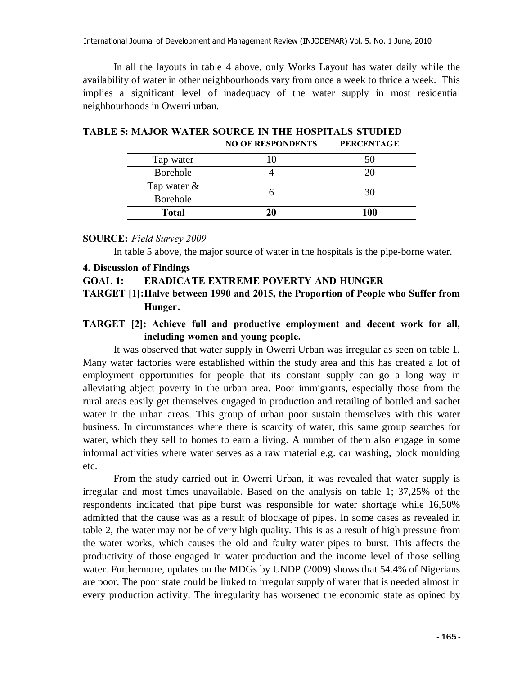International Journal of Development and Management Review (INJODEMAR) Vol. 5. No. 1 June, 2010

In all the layouts in table 4 above, only Works Layout has water daily while the availability of water in other neighbourhoods vary from once a week to thrice a week. This implies a significant level of inadequacy of the water supply in most residential neighbourhoods in Owerri urban.

|                 | <b>NO OF RESPONDENTS</b> | <b>PERCENTAGE</b> |  |  |
|-----------------|--------------------------|-------------------|--|--|
| Tap water       |                          |                   |  |  |
| <b>Borehole</b> |                          |                   |  |  |
| Tap water &     |                          | 30                |  |  |
| <b>Borehole</b> |                          |                   |  |  |
| <b>Total</b>    |                          | 100               |  |  |

**TABLE 5: MAJOR WATER SOURCE IN THE HOSPITALS STUDIED**

### **SOURCE:** *Field Survey 2009*

In table 5 above, the major source of water in the hospitals is the pipe-borne water.

#### **4. Discussion of Findings**

### **GOAL 1: ERADICATE EXTREME POVERTY AND HUNGER**

**TARGET [1]:Halve between 1990 and 2015, the Proportion of People who Suffer from Hunger.**

# **TARGET [2]: Achieve full and productive employment and decent work for all, including women and young people.**

It was observed that water supply in Owerri Urban was irregular as seen on table 1. Many water factories were established within the study area and this has created a lot of employment opportunities for people that its constant supply can go a long way in alleviating abject poverty in the urban area. Poor immigrants, especially those from the rural areas easily get themselves engaged in production and retailing of bottled and sachet water in the urban areas. This group of urban poor sustain themselves with this water business. In circumstances where there is scarcity of water, this same group searches for water, which they sell to homes to earn a living. A number of them also engage in some informal activities where water serves as a raw material e.g. car washing, block moulding etc.

From the study carried out in Owerri Urban, it was revealed that water supply is irregular and most times unavailable. Based on the analysis on table 1; 37,25% of the respondents indicated that pipe burst was responsible for water shortage while 16,50% admitted that the cause was as a result of blockage of pipes. In some cases as revealed in table 2, the water may not be of very high quality. This is as a result of high pressure from the water works, which causes the old and faulty water pipes to burst. This affects the productivity of those engaged in water production and the income level of those selling water. Furthermore, updates on the MDGs by UNDP (2009) shows that 54.4% of Nigerians are poor. The poor state could be linked to irregular supply of water that is needed almost in every production activity. The irregularity has worsened the economic state as opined by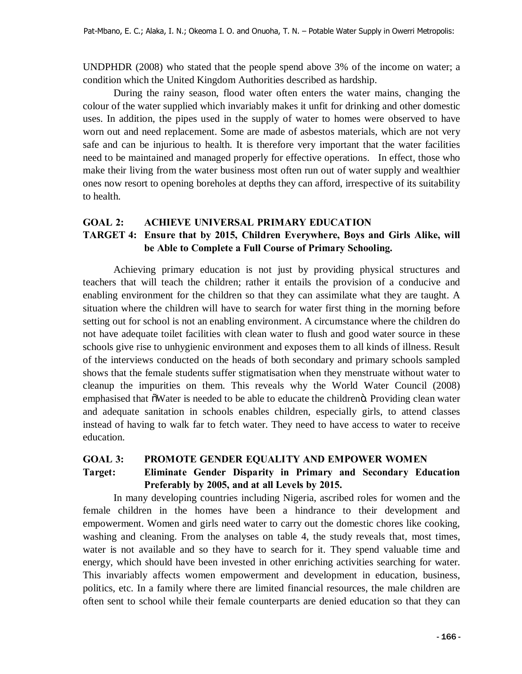UNDPHDR (2008) who stated that the people spend above 3% of the income on water; a condition which the United Kingdom Authorities described as hardship.

During the rainy season, flood water often enters the water mains, changing the colour of the water supplied which invariably makes it unfit for drinking and other domestic uses. In addition, the pipes used in the supply of water to homes were observed to have worn out and need replacement. Some are made of asbestos materials, which are not very safe and can be injurious to health. It is therefore very important that the water facilities need to be maintained and managed properly for effective operations. In effect, those who make their living from the water business most often run out of water supply and wealthier ones now resort to opening boreholes at depths they can afford, irrespective of its suitability to health.

### **GOAL 2: ACHIEVE UNIVERSAL PRIMARY EDUCATION**

# **TARGET 4: Ensure that by 2015, Children Everywhere, Boys and Girls Alike, will be Able to Complete a Full Course of Primary Schooling.**

Achieving primary education is not just by providing physical structures and teachers that will teach the children; rather it entails the provision of a conducive and enabling environment for the children so that they can assimilate what they are taught. A situation where the children will have to search for water first thing in the morning before setting out for school is not an enabling environment. A circumstance where the children do not have adequate toilet facilities with clean water to flush and good water source in these schools give rise to unhygienic environment and exposes them to all kinds of illness. Result of the interviews conducted on the heads of both secondary and primary schools sampled shows that the female students suffer stigmatisation when they menstruate without water to cleanup the impurities on them. This reveals why the World Water Council (2008) emphasised that  $\delta$ Water is needed to be able to educate the children $\ddot{o}$ . Providing clean water and adequate sanitation in schools enables children, especially girls, to attend classes instead of having to walk far to fetch water. They need to have access to water to receive education.

## **GOAL 3: PROMOTE GENDER EQUALITY AND EMPOWER WOMEN**

# **Target: Eliminate Gender Disparity in Primary and Secondary Education Preferably by 2005, and at all Levels by 2015.**

In many developing countries including Nigeria, ascribed roles for women and the female children in the homes have been a hindrance to their development and empowerment. Women and girls need water to carry out the domestic chores like cooking, washing and cleaning. From the analyses on table 4, the study reveals that, most times, water is not available and so they have to search for it. They spend valuable time and energy, which should have been invested in other enriching activities searching for water. This invariably affects women empowerment and development in education, business, politics, etc. In a family where there are limited financial resources, the male children are often sent to school while their female counterparts are denied education so that they can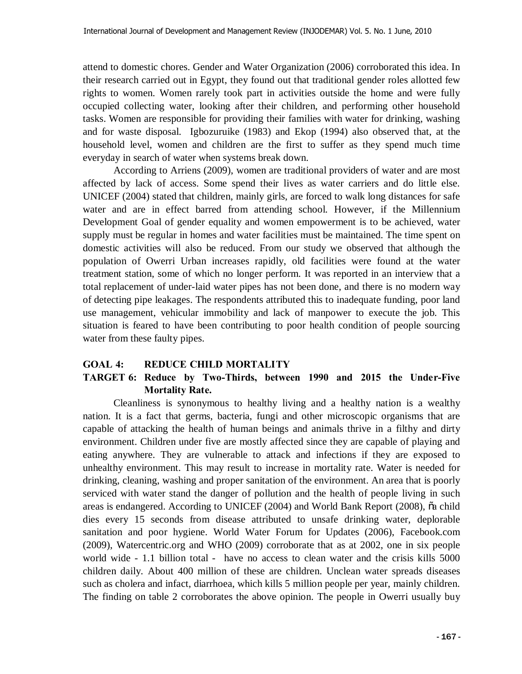attend to domestic chores. Gender and Water Organization (2006) corroborated this idea. In their research carried out in Egypt, they found out that traditional gender roles allotted few rights to women. Women rarely took part in activities outside the home and were fully occupied collecting water, looking after their children, and performing other household tasks. Women are responsible for providing their families with water for drinking, washing and for waste disposal. Igbozuruike (1983) and Ekop (1994) also observed that, at the household level, women and children are the first to suffer as they spend much time everyday in search of water when systems break down.

According to Arriens (2009), women are traditional providers of water and are most affected by lack of access. Some spend their lives as water carriers and do little else. UNICEF (2004) stated that children, mainly girls, are forced to walk long distances for safe water and are in effect barred from attending school. However, if the Millennium Development Goal of gender equality and women empowerment is to be achieved, water supply must be regular in homes and water facilities must be maintained. The time spent on domestic activities will also be reduced. From our study we observed that although the population of Owerri Urban increases rapidly, old facilities were found at the water treatment station, some of which no longer perform. It was reported in an interview that a total replacement of under-laid water pipes has not been done, and there is no modern way of detecting pipe leakages. The respondents attributed this to inadequate funding, poor land use management, vehicular immobility and lack of manpower to execute the job. This situation is feared to have been contributing to poor health condition of people sourcing water from these faulty pipes.

### **GOAL 4: REDUCE CHILD MORTALITY**

# **TARGET 6: Reduce by Two-Thirds, between 1990 and 2015 the Under-Five Mortality Rate.**

Cleanliness is synonymous to healthy living and a healthy nation is a wealthy nation. It is a fact that germs, bacteria, fungi and other microscopic organisms that are capable of attacking the health of human beings and animals thrive in a filthy and dirty environment. Children under five are mostly affected since they are capable of playing and eating anywhere. They are vulnerable to attack and infections if they are exposed to unhealthy environment. This may result to increase in mortality rate. Water is needed for drinking, cleaning, washing and proper sanitation of the environment. An area that is poorly serviced with water stand the danger of pollution and the health of people living in such areas is endangered. According to UNICEF (2004) and World Bank Report (2008), õa child dies every 15 seconds from disease attributed to unsafe drinking water, deplorable sanitation and poor hygiene. World Water Forum for Updates (2006), Facebook.com (2009), Watercentric.org and WHO (2009) corroborate that as at 2002, one in six people world wide - 1.1 billion total - have no access to clean water and the crisis kills 5000 children daily. About 400 million of these are children. Unclean water spreads diseases such as cholera and infact, diarrhoea, which kills 5 million people per year, mainly children. The finding on table 2 corroborates the above opinion. The people in Owerri usually buy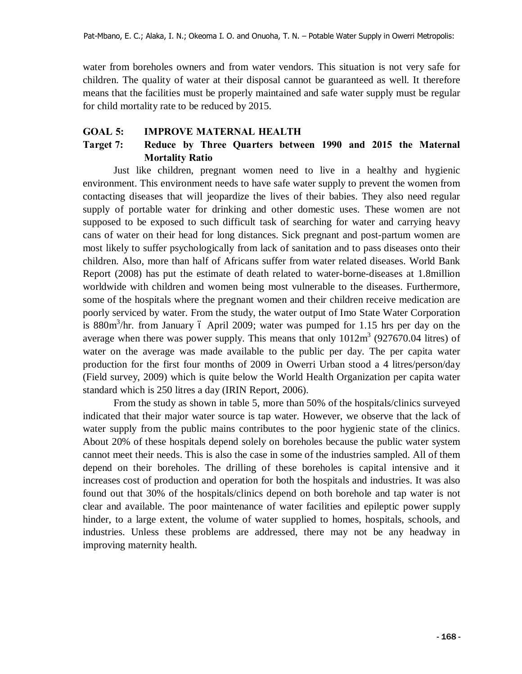water from boreholes owners and from water vendors. This situation is not very safe for children. The quality of water at their disposal cannot be guaranteed as well. It therefore means that the facilities must be properly maintained and safe water supply must be regular for child mortality rate to be reduced by 2015.

### **GOAL 5: IMPROVE MATERNAL HEALTH**

# **Target 7: Reduce by Three Quarters between 1990 and 2015 the Maternal Mortality Ratio**

Just like children, pregnant women need to live in a healthy and hygienic environment. This environment needs to have safe water supply to prevent the women from contacting diseases that will jeopardize the lives of their babies. They also need regular supply of portable water for drinking and other domestic uses. These women are not supposed to be exposed to such difficult task of searching for water and carrying heavy cans of water on their head for long distances. Sick pregnant and post-partum women are most likely to suffer psychologically from lack of sanitation and to pass diseases onto their children. Also, more than half of Africans suffer from water related diseases. World Bank Report (2008) has put the estimate of death related to water-borne-diseases at 1.8million worldwide with children and women being most vulnerable to the diseases. Furthermore, some of the hospitals where the pregnant women and their children receive medication are poorly serviced by water. From the study, the water output of Imo State Water Corporation is  $880m^3/hr$ . from January 6 April 2009; water was pumped for 1.15 hrs per day on the average when there was power supply. This means that only  $1012m<sup>3</sup>$  (927670.04 litres) of water on the average was made available to the public per day. The per capita water production for the first four months of 2009 in Owerri Urban stood a 4 litres/person/day (Field survey, 2009) which is quite below the World Health Organization per capita water standard which is 250 litres a day (IRIN Report, 2006).

From the study as shown in table 5, more than 50% of the hospitals/clinics surveyed indicated that their major water source is tap water. However, we observe that the lack of water supply from the public mains contributes to the poor hygienic state of the clinics. About 20% of these hospitals depend solely on boreholes because the public water system cannot meet their needs. This is also the case in some of the industries sampled. All of them depend on their boreholes. The drilling of these boreholes is capital intensive and it increases cost of production and operation for both the hospitals and industries. It was also found out that 30% of the hospitals/clinics depend on both borehole and tap water is not clear and available. The poor maintenance of water facilities and epileptic power supply hinder, to a large extent, the volume of water supplied to homes, hospitals, schools, and industries. Unless these problems are addressed, there may not be any headway in improving maternity health.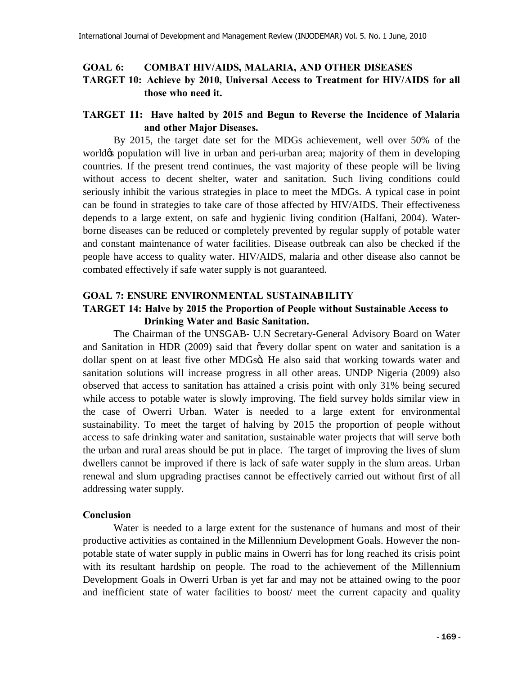## **GOAL 6: COMBAT HIV/AIDS, MALARIA, AND OTHER DISEASES TARGET 10: Achieve by 2010, Universal Access to Treatment for HIV/AIDS for all those who need it.**

### **TARGET 11: Have halted by 2015 and Begun to Reverse the Incidence of Malaria and other Major Diseases.**

By 2015, the target date set for the MDGs achievement, well over 50% of the world of population will live in urban and peri-urban area; majority of them in developing countries. If the present trend continues, the vast majority of these people will be living without access to decent shelter, water and sanitation. Such living conditions could seriously inhibit the various strategies in place to meet the MDGs. A typical case in point can be found in strategies to take care of those affected by HIV/AIDS. Their effectiveness depends to a large extent, on safe and hygienic living condition (Halfani, 2004). Waterborne diseases can be reduced or completely prevented by regular supply of potable water and constant maintenance of water facilities. Disease outbreak can also be checked if the people have access to quality water. HIV/AIDS, malaria and other disease also cannot be combated effectively if safe water supply is not guaranteed.

# **GOAL 7: ENSURE ENVIRONMENTAL SUSTAINABILITY TARGET 14: Halve by 2015 the Proportion of People without Sustainable Access to Drinking Water and Basic Sanitation.**

The Chairman of the UNSGAB- U.N Secretary-General Advisory Board on Water and Sanitation in HDR (2009) said that  $\tilde{\text{e}}$  every dollar spent on water and sanitation is a dollar spent on at least five other MDGsö. He also said that working towards water and sanitation solutions will increase progress in all other areas. UNDP Nigeria (2009) also observed that access to sanitation has attained a crisis point with only 31% being secured while access to potable water is slowly improving. The field survey holds similar view in the case of Owerri Urban. Water is needed to a large extent for environmental sustainability. To meet the target of halving by 2015 the proportion of people without access to safe drinking water and sanitation, sustainable water projects that will serve both the urban and rural areas should be put in place. The target of improving the lives of slum dwellers cannot be improved if there is lack of safe water supply in the slum areas. Urban renewal and slum upgrading practises cannot be effectively carried out without first of all addressing water supply.

### **Conclusion**

Water is needed to a large extent for the sustenance of humans and most of their productive activities as contained in the Millennium Development Goals. However the nonpotable state of water supply in public mains in Owerri has for long reached its crisis point with its resultant hardship on people. The road to the achievement of the Millennium Development Goals in Owerri Urban is yet far and may not be attained owing to the poor and inefficient state of water facilities to boost/ meet the current capacity and quality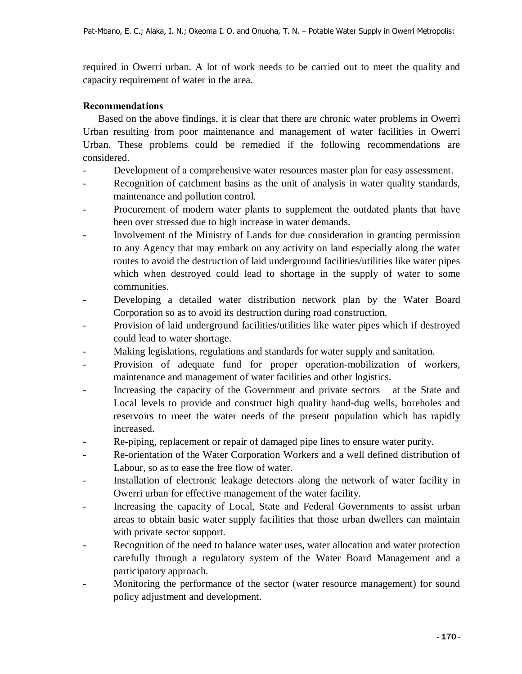required in Owerri urban. A lot of work needs to be carried out to meet the quality and capacity requirement of water in the area.

# **Recommendations**

Based on the above findings, it is clear that there are chronic water problems in Owerri Urban resulting from poor maintenance and management of water facilities in Owerri Urban. These problems could be remedied if the following recommendations are considered.

- Development of a comprehensive water resources master plan for easy assessment.
- Recognition of catchment basins as the unit of analysis in water quality standards, maintenance and pollution control.
- Procurement of modern water plants to supplement the outdated plants that have been over stressed due to high increase in water demands.
- Involvement of the Ministry of Lands for due consideration in granting permission to any Agency that may embark on any activity on land especially along the water routes to avoid the destruction of laid underground facilities/utilities like water pipes which when destroyed could lead to shortage in the supply of water to some communities.
- Developing a detailed water distribution network plan by the Water Board Corporation so as to avoid its destruction during road construction.
- Provision of laid underground facilities/utilities like water pipes which if destroyed could lead to water shortage.
- Making legislations, regulations and standards for water supply and sanitation.
- Provision of adequate fund for proper operation-mobilization of workers, maintenance and management of water facilities and other logistics.
- Increasing the capacity of the Government and private sectors at the State and Local levels to provide and construct high quality hand-dug wells, boreholes and reservoirs to meet the water needs of the present population which has rapidly increased.
- Re-piping, replacement or repair of damaged pipe lines to ensure water purity.
- Re-orientation of the Water Corporation Workers and a well defined distribution of Labour, so as to ease the free flow of water.
- Installation of electronic leakage detectors along the network of water facility in Owerri urban for effective management of the water facility.
- Increasing the capacity of Local, State and Federal Governments to assist urban areas to obtain basic water supply facilities that those urban dwellers can maintain with private sector support.
- Recognition of the need to balance water uses, water allocation and water protection carefully through a regulatory system of the Water Board Management and a participatory approach.
- Monitoring the performance of the sector (water resource management) for sound policy adjustment and development.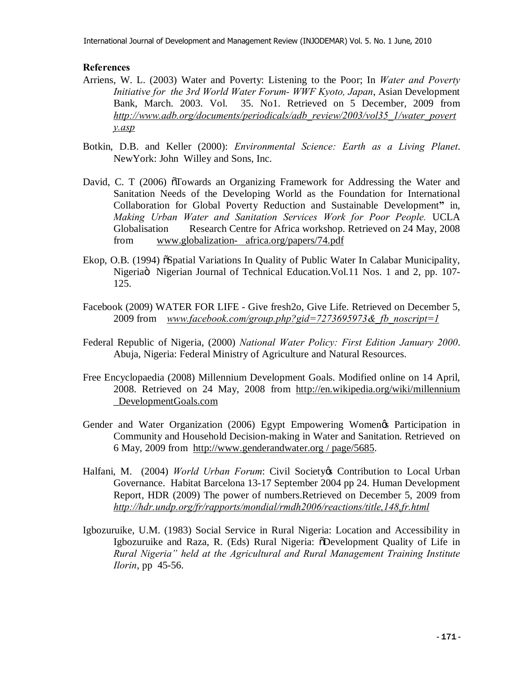### **References**

- Arriens, W. L. (2003) Water and Poverty: Listening to the Poor; In *Water and Poverty Initiative for the 3rd World Water Forum- WWF Kyoto, Japan*, Asian Development Bank, March. 2003. Vol. 35. No1. Retrieved on 5 December, 2009 from *[http://www.adb.org/documents/periodicals/adb\\_review/2003/vol35\\_1/water\\_povert](http://www.adb.org/documents/periodicals/adb_review/2003/vol35_1/water_poverty.asp) [y.asp](http://www.adb.org/documents/periodicals/adb_review/2003/vol35_1/water_poverty.asp)*
- Botkin, D.B. and Keller (2000): *Environmental Science: Earth as a Living Planet*. NewYork: John Willey and Sons, Inc.
- David, C. T (2006)  $\sigma$ Towards an Organizing Framework for Addressing the Water and Sanitation Needs of the Developing World as the Foundation for International Collaboration for Global Poverty Reduction and Sustainable Development**"** in, *Making Urban Water and Sanitation Services Work for Poor People.* UCLA Globalisation Research Centre for Africa workshop. Retrieved on 24 May, 2008 from[www.globalization- africa.org/papers/74.pdf](http://www.globalization-africa.org/papers/74.pdf)
- Ekop, O.B. (1994)  $\delta$ Spatial Variations In Quality of Public Water In Calabar Municipality, Nigeriaö Nigerian Journal of Technical Education. Vol. 11 Nos. 1 and 2, pp. 107-125.
- Facebook (2009) WATER FOR LIFE Give fresh2o, Give Life. Retrieved on December 5, 2009 from *[www.facebook.com/group.php?gid=7273695973&\\_fb\\_noscript=1](http://www.facebook.com/group.php?gid=7273695973&_fb_noscript=1)*
- Federal Republic of Nigeria, (2000) *National Water Policy: First Edition January 2000*. Abuja, Nigeria: Federal Ministry of Agriculture and Natural Resources.
- Free Encyclopaedia (2008) Millennium Development Goals. Modified online on 14 April, 2008. Retrieved on 24 May, 2008 from [http://en.wikipedia.org/wiki/millennium](http://en.wikipedia.org/wiki/millennium _DevelopmentGoals.com)  [\\_DevelopmentGoals.com](http://en.wikipedia.org/wiki/millennium _DevelopmentGoals.com)
- Gender and Water Organization (2006) Egypt Empowering Women's Participation in Community and Household Decision-making in Water and Sanitation. Retrieved on 6 May, 2009 from [http://www.genderandwater.org](http://www.genderandwater.org/) / page/5685.
- Halfani, M. (2004) *World Urban Forum*: Civil Society & Contribution to Local Urban Governance. Habitat Barcelona 13-17 September 2004 pp 24. Human Development Report, HDR (2009) The power of numbers.Retrieved on December 5, 2009 from *<http://hdr.undp.org/fr/rapports/mondial/rmdh2006/reactions/title,148,fr.html>*
- Igbozuruike, U.M. (1983) Social Service in Rural Nigeria: Location and Accessibility in Igbozuruike and Raza, R. (Eds) Rural Nigeria:  $\delta$ Development Quality of Life in *Rural Nigeria" held at the Agricultural and Rural Management Training Institute Ilorin*, pp 45-56.